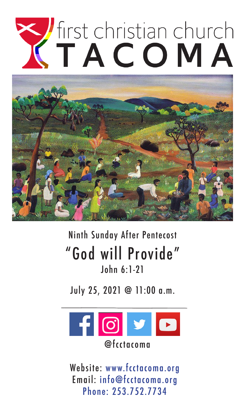# TACOMA



## Ninth Sunday After Pentecost "God will Provide" John 6:1-21

July 25, 2021 @ 11:00 a.m.



Website: www.fcctacoma.org Email: info@fcctacoma.org Phone: 253.752.7734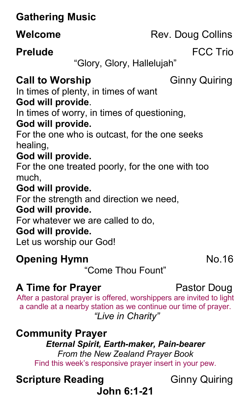## **Gathering Music**

#### **Prelude FCC Trio**

"Glory, Glory, Hallelujah"

### **Call to Worship Ginny Quiring**

In times of plenty, in times of want **God will provide**.

In times of worry, in times of questioning,

#### **God will provide.**

For the one who is outcast, for the one seeks healing,

#### **God will provide.**

For the one treated poorly, for the one with too much,

#### **God will provide.**

For the strength and direction we need,

#### **God will provide.**

For whatever we are called to do,

#### **God will provide.**

Let us worship our God!

#### **Opening Hymn** No.16

"Come Thou Fount"

## **A Time for Prayer Pastor Doug**

After a pastoral prayer is offered, worshippers are invited to light a candle at a nearby station as we continue our time of prayer. *"Live in Charity"*

#### **Community Prayer**

#### *Eternal Spirit, Earth-maker, Pain-bearer From the New Zealand Prayer Book* Find this week's responsive prayer insert in your pew.

# **Scripture Reading**  Ginny Quiring

## **John 6:1-21**

**Welcome** Rev. Doug Collins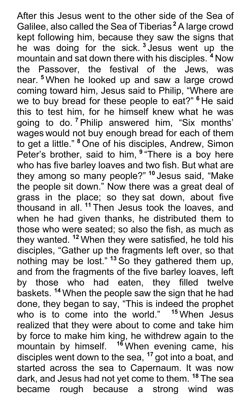After this Jesus went to the other side of the Sea of Galilee, also called the Sea of Tiberias **<sup>2</sup>** A large crowd kept following him, because they saw the signs that he was doing for the sick. **<sup>3</sup>** Jesus went up the mountain and sat down there with his disciples. **<sup>4</sup>** Now the Passover, the festival of the Jews, was near. **<sup>5</sup>** When he looked up and saw a large crowd coming toward him, Jesus said to Philip, "Where are we to buy bread for these people to eat?" **<sup>6</sup>** He said this to test him, for he himself knew what he was going to do. **<sup>7</sup>** Philip answered him, "Six months' wages would not buy enough bread for each of them to get a little." **<sup>8</sup>** One of his disciples, Andrew, Simon Peter's brother, said to him, **<sup>9</sup>** "There is a boy here who has five barley loaves and two fish. But what are they among so many people?" **<sup>10</sup>** Jesus said, "Make the people sit down." Now there was a great deal of grass in the place; so they sat down, about five thousand in all. **<sup>11</sup>** Then Jesus took the loaves, and when he had given thanks, he distributed them to those who were seated; so also the fish, as much as they wanted. **<sup>12</sup>** When they were satisfied, he told his disciples, "Gather up the fragments left over, so that nothing may be lost." **<sup>13</sup>** So they gathered them up, and from the fragments of the five barley loaves, left by those who had eaten, they filled twelve baskets. **<sup>14</sup>** When the people saw the sign that he had done, they began to say, "This is indeed the prophet who is to come into the world." <sup>15</sup> When Jesus realized that they were about to come and take him by force to make him king, he withdrew again to the mountain by himself. **<sup>16</sup>** When evening came, his disciples went down to the sea, **<sup>17</sup>** got into a boat, and started across the sea to Capernaum. It was now dark, and Jesus had not yet come to them. **<sup>18</sup>** The sea became rough because a strong wind was